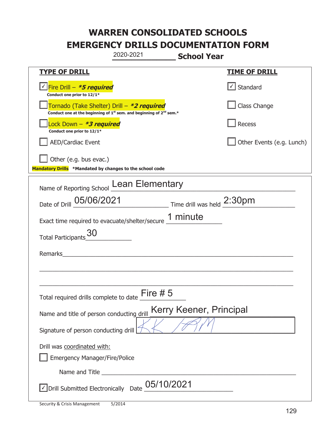|                                                                                    | 2020-2021                                                                                   | <b>School Year</b>                          |  |
|------------------------------------------------------------------------------------|---------------------------------------------------------------------------------------------|---------------------------------------------|--|
| <u>TYPE OF DRILL</u>                                                               |                                                                                             | <b>TIME OF DRILL</b>                        |  |
| Fire Drill - *5 required<br>Conduct one prior to 12/1*                             |                                                                                             | √ Standard                                  |  |
| Tornado (Take Shelter) Drill – *2 required                                         | Conduct one at the beginning of 1 <sup>st</sup> sem. and beginning of 2 <sup>nd</sup> sem.* | Class Change                                |  |
| Lock Down - *3 required<br>Conduct one prior to 12/1*                              |                                                                                             | Recess                                      |  |
| <b>AED/Cardiac Event</b>                                                           |                                                                                             | Other Events (e.g. Lunch)                   |  |
| Other (e.g. bus evac.)<br>Mandatory Drills *Mandated by changes to the school code |                                                                                             |                                             |  |
|                                                                                    | Name of Reporting School Lean Elementary                                                    |                                             |  |
| Date of Drill 05/06/2021                                                           |                                                                                             | $\frac{2:30pm}{\text{Time drill was held}}$ |  |
|                                                                                    | Exact time required to evacuate/shelter/secure 1 minute                                     |                                             |  |
| <b>Total Participants</b>                                                          |                                                                                             |                                             |  |
| Remarks                                                                            |                                                                                             |                                             |  |
|                                                                                    |                                                                                             |                                             |  |
| Total required drills complete to date $\frac{\text{Fire}}{\ }$ # 5                |                                                                                             |                                             |  |
| Name and title of person conducting drill                                          |                                                                                             | Kerry Keener, Principal                     |  |
| Signature of person conducting drill                                               |                                                                                             |                                             |  |
| Drill was coordinated with:<br><b>Emergency Manager/Fire/Police</b>                |                                                                                             |                                             |  |
|                                                                                    |                                                                                             |                                             |  |
|                                                                                    | $\vee$ Drill Submitted Electronically Date $05/10/2021$                                     |                                             |  |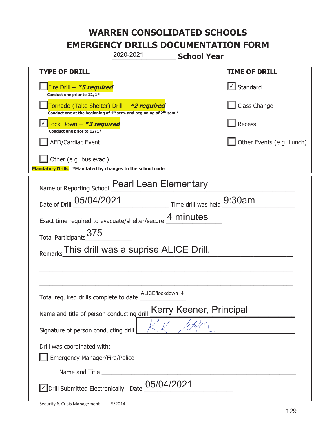|                                                                                    | 2020-2021                                                                                                                                 | <b>School Year</b>         |  |  |  |
|------------------------------------------------------------------------------------|-------------------------------------------------------------------------------------------------------------------------------------------|----------------------------|--|--|--|
| <b>TYPE OF DRILL</b>                                                               |                                                                                                                                           | <b>TIME OF DRILL</b>       |  |  |  |
| Fire Drill - *5 required<br>Conduct one prior to 12/1*                             |                                                                                                                                           | √ Standard                 |  |  |  |
|                                                                                    | Tornado (Take Shelter) Drill – *2 required<br>Conduct one at the beginning of 1 <sup>st</sup> sem. and beginning of 2 <sup>nd</sup> sem.* | Class Change               |  |  |  |
| Lock Down $-$ *3 required<br>Conduct one prior to 12/1*                            |                                                                                                                                           | Recess                     |  |  |  |
| <b>AED/Cardiac Event</b>                                                           |                                                                                                                                           | Other Events (e.g. Lunch)  |  |  |  |
| Other (e.g. bus evac.)<br>Mandatory Drills *Mandated by changes to the school code |                                                                                                                                           |                            |  |  |  |
| Name of Reporting School                                                           | <b>Pearl Lean Elementary</b>                                                                                                              |                            |  |  |  |
| Date of Drill 05/04/2021                                                           |                                                                                                                                           | Time drill was held 9:30am |  |  |  |
|                                                                                    | Exact time required to evacuate/shelter/secure 4 minutes                                                                                  |                            |  |  |  |
| 375<br><b>Total Participants</b>                                                   |                                                                                                                                           |                            |  |  |  |
| This drill was a suprise ALICE Drill.<br>Remarks                                   |                                                                                                                                           |                            |  |  |  |
|                                                                                    |                                                                                                                                           |                            |  |  |  |
|                                                                                    |                                                                                                                                           |                            |  |  |  |
| Total required drills complete to date                                             | ALICE/lockdown 4                                                                                                                          |                            |  |  |  |
| Kerry Keener, Principal<br>Name and title of person conducting drill               |                                                                                                                                           |                            |  |  |  |
| Signature of person conducting drill                                               |                                                                                                                                           |                            |  |  |  |
| Drill was coordinated with:<br><b>Emergency Manager/Fire/Police</b>                |                                                                                                                                           |                            |  |  |  |
|                                                                                    |                                                                                                                                           |                            |  |  |  |
| 05/04/2021<br>√ Drill Submitted Electronically Date                                |                                                                                                                                           |                            |  |  |  |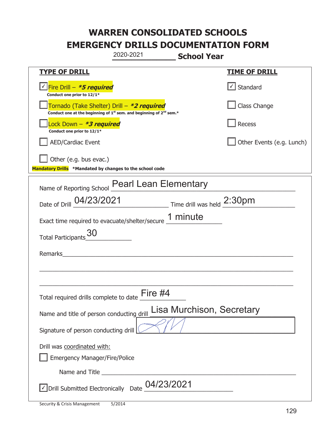|                                                                                    | 2020-2021                                                                                   | <b>School Year</b>        |
|------------------------------------------------------------------------------------|---------------------------------------------------------------------------------------------|---------------------------|
| <b>TYPE OF DRILL</b>                                                               |                                                                                             | <b>TIME OF DRILL</b>      |
| Fire Drill - <i>*5 required</i><br>Conduct one prior to 12/1*                      |                                                                                             | $\cup$ Standard           |
| Tornado (Take Shelter) Drill – *2 required                                         | Conduct one at the beginning of 1 <sup>st</sup> sem. and beginning of 2 <sup>nd</sup> sem.* | Class Change              |
| Lock Down - *3 required<br>Conduct one prior to 12/1*                              |                                                                                             | Recess                    |
| <b>AED/Cardiac Event</b>                                                           |                                                                                             | Other Events (e.g. Lunch) |
| Other (e.g. bus evac.)<br>Mandatory Drills *Mandated by changes to the school code |                                                                                             |                           |
| Name of Reporting School                                                           | <b>Pearl Lean Elementary</b>                                                                |                           |
|                                                                                    | Date of Drill 04/23/2021 Time drill was held 2:30pm                                         |                           |
|                                                                                    | Exact time required to evacuate/shelter/secure 1 minute                                     |                           |
| <b>Total Participants</b>                                                          |                                                                                             |                           |
| Remarks                                                                            |                                                                                             |                           |
|                                                                                    |                                                                                             |                           |
| Total required drills complete to date $\stackrel{\text{Fire}}{=}$ #4              |                                                                                             |                           |
| Name and title of person conducting drill                                          |                                                                                             | Lisa Murchison, Secretary |
| Signature of person conducting drill                                               |                                                                                             |                           |
| Drill was coordinated with:<br><b>Emergency Manager/Fire/Police</b>                |                                                                                             |                           |
|                                                                                    |                                                                                             |                           |
| √ Drill Submitted Electronically Date                                              | 04/23/2021                                                                                  |                           |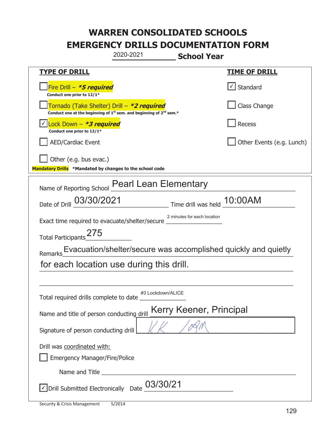|                                                                                    | 2020-2021                                                                                   | <b>School Year</b>          |                               |  |
|------------------------------------------------------------------------------------|---------------------------------------------------------------------------------------------|-----------------------------|-------------------------------|--|
| <b>TYPE OF DRILL</b>                                                               |                                                                                             |                             | <u>TIME OF DRILL</u>          |  |
| Fire Drill - *5 required<br>Conduct one prior to 12/1*                             |                                                                                             |                             | $\sqrt{\phantom{a}}$ Standard |  |
| Tornado (Take Shelter) Drill – *2 required                                         | Conduct one at the beginning of 1 <sup>st</sup> sem. and beginning of 2 <sup>nd</sup> sem.* |                             | Class Change                  |  |
| Lock Down - <b>*3 required</b><br>Conduct one prior to 12/1*                       |                                                                                             |                             | Recess                        |  |
| <b>AED/Cardiac Event</b>                                                           |                                                                                             |                             | Other Events (e.g. Lunch)     |  |
| Other (e.g. bus evac.)<br>Mandatory Drills *Mandated by changes to the school code |                                                                                             |                             |                               |  |
| Name of Reporting School                                                           | <b>Pearl Lean Elementary</b>                                                                |                             |                               |  |
| Date of Drill 03/30/2021                                                           |                                                                                             | Time drill was held 10:00AM |                               |  |
|                                                                                    | 2 minutes for each location<br>Exact time required to evacuate/shelter/secure _             |                             |                               |  |
| Total Participants_275                                                             |                                                                                             |                             |                               |  |
| Remarks                                                                            | Evacuation/shelter/secure was accomplished quickly and quietly                              |                             |                               |  |
|                                                                                    | for each location use during this drill.                                                    |                             |                               |  |
|                                                                                    |                                                                                             |                             |                               |  |
| Total required drills complete to date                                             | #3 Lockdown/ALICE                                                                           |                             |                               |  |
| Kerry Keener, Principal<br>Name and title of person conducting drill               |                                                                                             |                             |                               |  |
| Signature of person conducting drill                                               |                                                                                             |                             |                               |  |
| Drill was coordinated with:<br><b>Emergency Manager/Fire/Police</b>                |                                                                                             |                             |                               |  |
|                                                                                    |                                                                                             |                             |                               |  |
| √ Drill Submitted Electronically Date                                              | 03/30/21                                                                                    |                             |                               |  |

t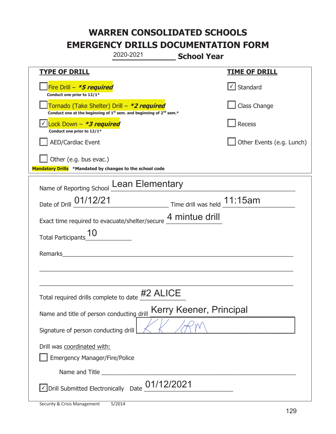|                                                                                    | 2020-2021                                                                                   | <b>School Year</b>        |  |
|------------------------------------------------------------------------------------|---------------------------------------------------------------------------------------------|---------------------------|--|
| <b>TYPE OF DRILL</b>                                                               |                                                                                             | <u>TIME OF DRILL</u>      |  |
| Fire Drill - *5 required<br>Conduct one prior to 12/1*                             |                                                                                             | $\cup$ Standard           |  |
| Tornado (Take Shelter) Drill – *2 required                                         | Conduct one at the beginning of 1 <sup>st</sup> sem. and beginning of 2 <sup>nd</sup> sem.* | Class Change              |  |
| Lock Down - *3 required<br>Conduct one prior to 12/1*                              |                                                                                             | Recess                    |  |
| <b>AED/Cardiac Event</b>                                                           |                                                                                             | Other Events (e.g. Lunch) |  |
| Other (e.g. bus evac.)<br>Mandatory Drills *Mandated by changes to the school code |                                                                                             |                           |  |
|                                                                                    | Name of Reporting School Lean Elementary                                                    |                           |  |
|                                                                                    | Date of Drill 01/12/21 Time drill was held 11:15am                                          |                           |  |
| Exact time required to evacuate/shelter/secure 4 mintue drill                      |                                                                                             |                           |  |
| <b>Total Participants</b>                                                          |                                                                                             |                           |  |
| Remarks                                                                            |                                                                                             |                           |  |
|                                                                                    |                                                                                             |                           |  |
|                                                                                    | Total required drills complete to date #2 ALICE                                             |                           |  |
| Name and title of person conducting drill                                          |                                                                                             | Kerry Keener, Principal   |  |
| Signature of person conducting drill                                               |                                                                                             |                           |  |
| Drill was coordinated with:<br><b>Emergency Manager/Fire/Police</b>                |                                                                                             |                           |  |
|                                                                                    |                                                                                             |                           |  |
| √ Drill Submitted Electronically Date                                              | 01/12/2021                                                                                  |                           |  |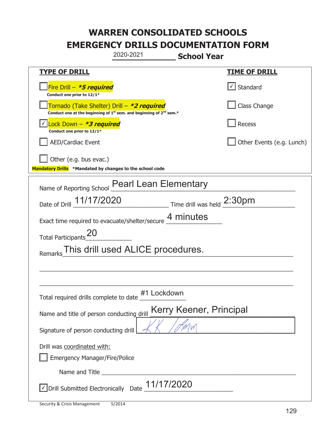| 2020-2021<br><b>School Year</b>                                                                                                                                                                                                      |                           |  |  |
|--------------------------------------------------------------------------------------------------------------------------------------------------------------------------------------------------------------------------------------|---------------------------|--|--|
| <b>TYPE OF DRILL</b>                                                                                                                                                                                                                 | <u>TIME OF DRILL</u>      |  |  |
| Fire Drill - <b>*5 required</b><br>Conduct one prior to 12/1*                                                                                                                                                                        | $\cup$ Standard           |  |  |
| Tornado (Take Shelter) Drill - *2 required<br>Conduct one at the beginning of $1^{st}$ sem. and beginning of $2^{nd}$ sem.*                                                                                                          | Class Change              |  |  |
| Lock Down $-$ *3 required<br>Conduct one prior to 12/1*                                                                                                                                                                              | Recess                    |  |  |
| <b>AED/Cardiac Event</b>                                                                                                                                                                                                             | Other Events (e.g. Lunch) |  |  |
| Other (e.g. bus evac.)<br>Mandatory Drills *Mandated by changes to the school code                                                                                                                                                   |                           |  |  |
| Name of Reporting School Pearl Lean Elementary                                                                                                                                                                                       |                           |  |  |
| Date of Drill 11/17/2020 Time drill was held 2:30pm                                                                                                                                                                                  |                           |  |  |
| Exact time required to evacuate/shelter/secure 4 minutes                                                                                                                                                                             |                           |  |  |
| Total Participants_20                                                                                                                                                                                                                |                           |  |  |
| This drill used ALICE procedures.<br>Remarks                                                                                                                                                                                         |                           |  |  |
|                                                                                                                                                                                                                                      |                           |  |  |
|                                                                                                                                                                                                                                      |                           |  |  |
| #1 Lockdown<br>Total required drills complete to date                                                                                                                                                                                |                           |  |  |
| Kerry Keener, Principal<br>Name and title of person conducting drill                                                                                                                                                                 |                           |  |  |
| Signature of person conducting drill                                                                                                                                                                                                 |                           |  |  |
| Drill was coordinated with:                                                                                                                                                                                                          |                           |  |  |
| Emergency Manager/Fire/Police                                                                                                                                                                                                        |                           |  |  |
| Name and Title <b>contract the contract of the contract of the contract of the contract of the contract of the contract of the contract of the contract of the contract of the contract of the contract of the contract of the c</b> |                           |  |  |
| $\sqrt{\phantom{a}}$ Drill Submitted Electronically Date $\underline{\phantom{a}}$ 11/17/2020                                                                                                                                        |                           |  |  |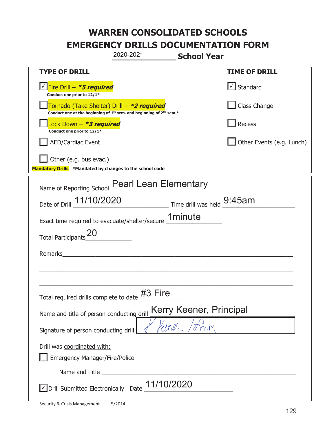|                                                                                               | 2020-2021                                                                                   | <b>School Year</b>      |                           |
|-----------------------------------------------------------------------------------------------|---------------------------------------------------------------------------------------------|-------------------------|---------------------------|
| <b>TYPE OF DRILL</b>                                                                          |                                                                                             |                         | <b>TIME OF DRILL</b>      |
| Fire Drill - <i>*<b>5 required</b></i><br>Conduct one prior to 12/1*                          |                                                                                             |                         | $\cup$ Standard           |
| Tornado (Take Shelter) Drill – *2 required                                                    | Conduct one at the beginning of 1 <sup>st</sup> sem. and beginning of 2 <sup>nd</sup> sem.* |                         | Class Change              |
| Lock Down - *3 required<br>Conduct one prior to 12/1*                                         |                                                                                             |                         | Recess                    |
| <b>AED/Cardiac Event</b>                                                                      |                                                                                             |                         | Other Events (e.g. Lunch) |
| Other (e.g. bus evac.)<br>Mandatory Drills *Mandated by changes to the school code            |                                                                                             |                         |                           |
| Name of Reporting School                                                                      | <b>Pearl Lean Elementary</b>                                                                |                         |                           |
| Date of Drill 11/10/2020 Time drill was held 9:45am                                           |                                                                                             |                         |                           |
| Exact time required to evacuate/shelter/secure <b>1minute</b>                                 |                                                                                             |                         |                           |
| <b>Total Participants</b>                                                                     |                                                                                             |                         |                           |
| Remarks                                                                                       |                                                                                             |                         |                           |
|                                                                                               |                                                                                             |                         |                           |
|                                                                                               |                                                                                             |                         |                           |
| Total required drills complete to date TO                                                     | Fire                                                                                        |                         |                           |
| Name and title of person conducting drill                                                     |                                                                                             | Kerry Keener, Principal |                           |
| Signature of person conducting drill                                                          |                                                                                             |                         |                           |
| Drill was coordinated with:<br><b>Emergency Manager/Fire/Police</b>                           |                                                                                             |                         |                           |
|                                                                                               |                                                                                             |                         |                           |
| $\sqrt{2}$ Drill Submitted Electronically Date $\frac{11}{10}$ Drill Submitted Electronically |                                                                                             |                         |                           |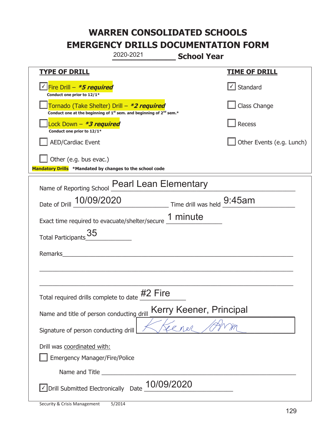|                                                                                    | 2020-2021                                                                                   | <b>School Year</b>                                                        |                           |
|------------------------------------------------------------------------------------|---------------------------------------------------------------------------------------------|---------------------------------------------------------------------------|---------------------------|
| <b>TYPE OF DRILL</b>                                                               |                                                                                             |                                                                           | <b>TIME OF DRILL</b>      |
| Fire Drill - <i>*5 required</i><br>Conduct one prior to 12/1*                      |                                                                                             |                                                                           | $\cup$ Standard           |
| Tornado (Take Shelter) Drill – *2 required                                         | Conduct one at the beginning of 1 <sup>st</sup> sem. and beginning of 2 <sup>nd</sup> sem.* |                                                                           | Class Change              |
| Lock Down - *3 required<br>Conduct one prior to 12/1*                              |                                                                                             |                                                                           | Recess                    |
| <b>AED/Cardiac Event</b>                                                           |                                                                                             |                                                                           | Other Events (e.g. Lunch) |
| Other (e.g. bus evac.)<br>Mandatory Drills *Mandated by changes to the school code |                                                                                             |                                                                           |                           |
| Name of Reporting School                                                           | <b>Pearl Lean Elementary</b>                                                                |                                                                           |                           |
| Date of Drill 10/09/2020                                                           |                                                                                             | $\frac{9:45}{\frac{1}{2}}$ Time drill was held $\frac{9:45}{\frac{1}{2}}$ |                           |
| Exact time required to evacuate/shelter/secure 1 minute                            |                                                                                             |                                                                           |                           |
| 35<br><b>Total Participants</b>                                                    |                                                                                             |                                                                           |                           |
| Remarks                                                                            |                                                                                             |                                                                           |                           |
|                                                                                    |                                                                                             |                                                                           |                           |
| Total required drills complete to date $\frac{\#2}{\#2}$ Fire                      |                                                                                             |                                                                           |                           |
| Name and title of person conducting drill                                          |                                                                                             | Kerry Keener, Principal                                                   |                           |
| Signature of person conducting drill                                               |                                                                                             |                                                                           |                           |
| Drill was coordinated with:<br><b>Emergency Manager/Fire/Police</b>                |                                                                                             |                                                                           |                           |
|                                                                                    |                                                                                             |                                                                           |                           |
| √ Drill Submitted Electronically Date                                              | 10/09/2020                                                                                  |                                                                           |                           |

ı